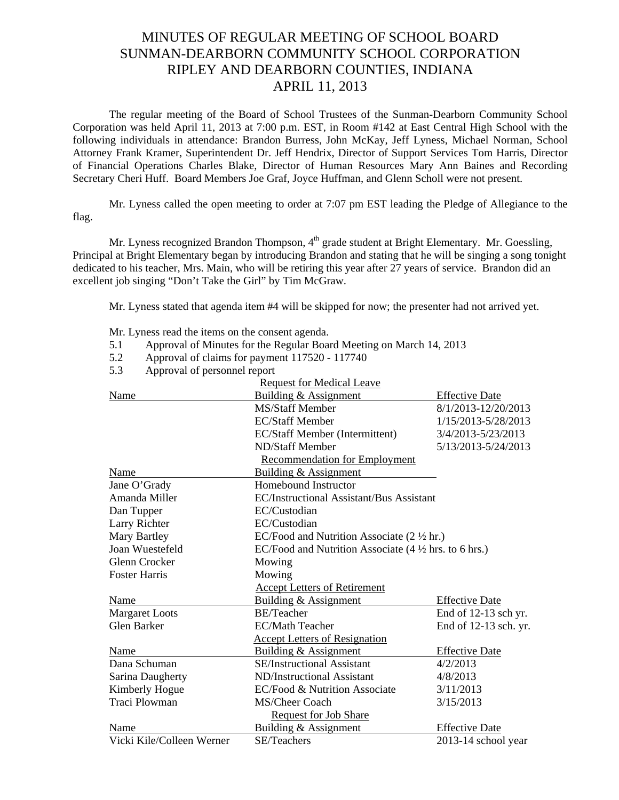## MINUTES OF REGULAR MEETING OF SCHOOL BOARD SUNMAN-DEARBORN COMMUNITY SCHOOL CORPORATION RIPLEY AND DEARBORN COUNTIES, INDIANA APRIL 11, 2013

The regular meeting of the Board of School Trustees of the Sunman-Dearborn Community School Corporation was held April 11, 2013 at 7:00 p.m. EST, in Room #142 at East Central High School with the following individuals in attendance: Brandon Burress, John McKay, Jeff Lyness, Michael Norman, School Attorney Frank Kramer, Superintendent Dr. Jeff Hendrix, Director of Support Services Tom Harris, Director of Financial Operations Charles Blake, Director of Human Resources Mary Ann Baines and Recording Secretary Cheri Huff. Board Members Joe Graf, Joyce Huffman, and Glenn Scholl were not present.

 Mr. Lyness called the open meeting to order at 7:07 pm EST leading the Pledge of Allegiance to the flag.

Mr. Lyness recognized Brandon Thompson, 4<sup>th</sup> grade student at Bright Elementary. Mr. Goessling, Principal at Bright Elementary began by introducing Brandon and stating that he will be singing a song tonight dedicated to his teacher, Mrs. Main, who will be retiring this year after 27 years of service. Brandon did an excellent job singing "Don't Take the Girl" by Tim McGraw.

Mr. Lyness stated that agenda item #4 will be skipped for now; the presenter had not arrived yet.

Mr. Lyness read the items on the consent agenda.

- 5.1 Approval of Minutes for the Regular Board Meeting on March 14, 2013
- 5.2 Approval of claims for payment 117520 117740
- 5.3 Approval of personnel report

| <b>Request for Medical Leave</b> |                                                                                   |                       |
|----------------------------------|-----------------------------------------------------------------------------------|-----------------------|
| Name                             | Building & Assignment                                                             | <b>Effective Date</b> |
|                                  | <b>MS/Staff Member</b>                                                            | 8/1/2013-12/20/2013   |
|                                  | <b>EC/Staff Member</b>                                                            | 1/15/2013-5/28/2013   |
|                                  | EC/Staff Member (Intermittent)                                                    | 3/4/2013-5/23/2013    |
|                                  | ND/Staff Member                                                                   | 5/13/2013-5/24/2013   |
|                                  | <b>Recommendation for Employment</b>                                              |                       |
| Name                             | Building & Assignment                                                             |                       |
| Jane O'Grady                     | Homebound Instructor                                                              |                       |
| Amanda Miller                    | <b>EC/Instructional Assistant/Bus Assistant</b>                                   |                       |
| Dan Tupper                       | EC/Custodian                                                                      |                       |
| Larry Richter                    | EC/Custodian                                                                      |                       |
| Mary Bartley                     | EC/Food and Nutrition Associate $(2 \frac{1}{2} \text{ hr.})$                     |                       |
| Joan Wuestefeld                  | EC/Food and Nutrition Associate $(4 \frac{1}{2} \text{ hrs. to } 6 \text{ hrs.})$ |                       |
| Glenn Crocker                    | Mowing                                                                            |                       |
| <b>Foster Harris</b>             | Mowing                                                                            |                       |
|                                  | <b>Accept Letters of Retirement</b>                                               |                       |
| Name                             | <b>Building &amp; Assignment</b>                                                  | <b>Effective Date</b> |
| <b>Margaret Loots</b>            | <b>BE/Teacher</b>                                                                 | End of 12-13 sch yr.  |
| Glen Barker                      | <b>EC/Math Teacher</b>                                                            | End of 12-13 sch. yr. |
|                                  | <b>Accept Letters of Resignation</b>                                              |                       |
| Name                             | Building & Assignment                                                             | <b>Effective Date</b> |
| Dana Schuman                     | <b>SE/Instructional Assistant</b>                                                 | 4/2/2013              |
| Sarina Daugherty                 | ND/Instructional Assistant                                                        | 4/8/2013              |
| Kimberly Hogue                   | EC/Food & Nutrition Associate                                                     | 3/11/2013             |
| <b>Traci Plowman</b>             | MS/Cheer Coach                                                                    | 3/15/2013             |
|                                  | <b>Request for Job Share</b>                                                      |                       |
| Name                             | Building & Assignment                                                             | <b>Effective Date</b> |
| Vicki Kile/Colleen Werner        | SE/Teachers                                                                       | 2013-14 school year   |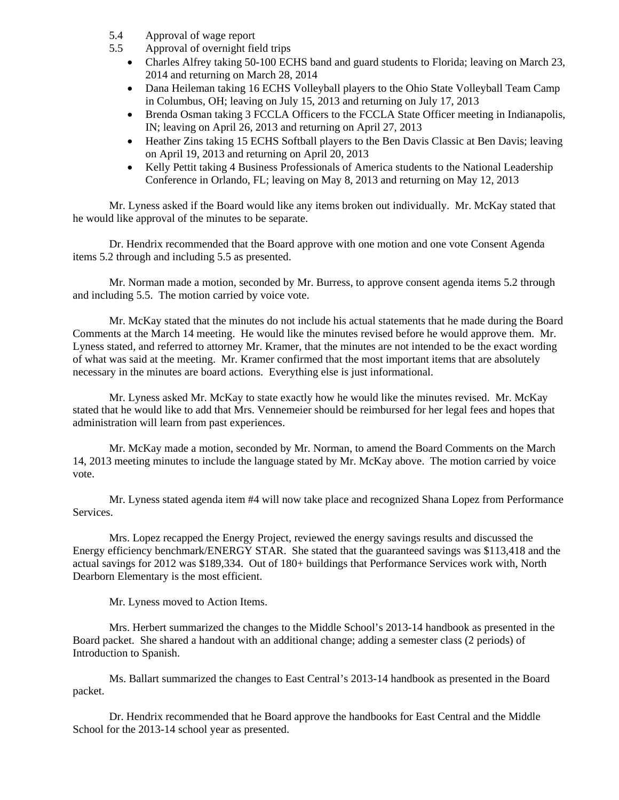- 5.4 Approval of wage report
- 5.5 Approval of overnight field trips
	- Charles Alfrey taking 50-100 ECHS band and guard students to Florida; leaving on March 23, 2014 and returning on March 28, 2014
	- Dana Heileman taking 16 ECHS Volleyball players to the Ohio State Volleyball Team Camp in Columbus, OH; leaving on July 15, 2013 and returning on July 17, 2013
	- Brenda Osman taking 3 FCCLA Officers to the FCCLA State Officer meeting in Indianapolis, IN; leaving on April 26, 2013 and returning on April 27, 2013
	- Heather Zins taking 15 ECHS Softball players to the Ben Davis Classic at Ben Davis; leaving on April 19, 2013 and returning on April 20, 2013
	- Kelly Pettit taking 4 Business Professionals of America students to the National Leadership Conference in Orlando, FL; leaving on May 8, 2013 and returning on May 12, 2013

 Mr. Lyness asked if the Board would like any items broken out individually. Mr. McKay stated that he would like approval of the minutes to be separate.

Dr. Hendrix recommended that the Board approve with one motion and one vote Consent Agenda items 5.2 through and including 5.5 as presented.

Mr. Norman made a motion, seconded by Mr. Burress, to approve consent agenda items 5.2 through and including 5.5. The motion carried by voice vote.

Mr. McKay stated that the minutes do not include his actual statements that he made during the Board Comments at the March 14 meeting. He would like the minutes revised before he would approve them. Mr. Lyness stated, and referred to attorney Mr. Kramer, that the minutes are not intended to be the exact wording of what was said at the meeting. Mr. Kramer confirmed that the most important items that are absolutely necessary in the minutes are board actions. Everything else is just informational.

 Mr. Lyness asked Mr. McKay to state exactly how he would like the minutes revised. Mr. McKay stated that he would like to add that Mrs. Vennemeier should be reimbursed for her legal fees and hopes that administration will learn from past experiences.

 Mr. McKay made a motion, seconded by Mr. Norman, to amend the Board Comments on the March 14, 2013 meeting minutes to include the language stated by Mr. McKay above. The motion carried by voice vote.

Mr. Lyness stated agenda item #4 will now take place and recognized Shana Lopez from Performance Services.

Mrs. Lopez recapped the Energy Project, reviewed the energy savings results and discussed the Energy efficiency benchmark/ENERGY STAR. She stated that the guaranteed savings was \$113,418 and the actual savings for 2012 was \$189,334. Out of 180+ buildings that Performance Services work with, North Dearborn Elementary is the most efficient.

Mr. Lyness moved to Action Items.

Mrs. Herbert summarized the changes to the Middle School's 2013-14 handbook as presented in the Board packet. She shared a handout with an additional change; adding a semester class (2 periods) of Introduction to Spanish.

 Ms. Ballart summarized the changes to East Central's 2013-14 handbook as presented in the Board packet.

 Dr. Hendrix recommended that he Board approve the handbooks for East Central and the Middle School for the 2013-14 school year as presented.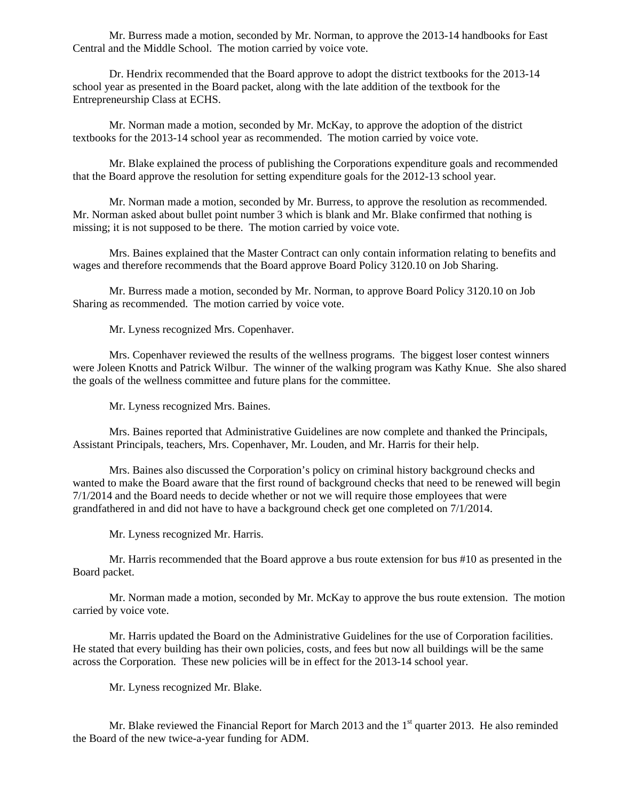Mr. Burress made a motion, seconded by Mr. Norman, to approve the 2013-14 handbooks for East Central and the Middle School. The motion carried by voice vote.

Dr. Hendrix recommended that the Board approve to adopt the district textbooks for the 2013-14 school year as presented in the Board packet, along with the late addition of the textbook for the Entrepreneurship Class at ECHS.

Mr. Norman made a motion, seconded by Mr. McKay, to approve the adoption of the district textbooks for the 2013-14 school year as recommended. The motion carried by voice vote.

Mr. Blake explained the process of publishing the Corporations expenditure goals and recommended that the Board approve the resolution for setting expenditure goals for the 2012-13 school year.

Mr. Norman made a motion, seconded by Mr. Burress, to approve the resolution as recommended. Mr. Norman asked about bullet point number 3 which is blank and Mr. Blake confirmed that nothing is missing; it is not supposed to be there. The motion carried by voice vote.

Mrs. Baines explained that the Master Contract can only contain information relating to benefits and wages and therefore recommends that the Board approve Board Policy 3120.10 on Job Sharing.

 Mr. Burress made a motion, seconded by Mr. Norman, to approve Board Policy 3120.10 on Job Sharing as recommended. The motion carried by voice vote.

Mr. Lyness recognized Mrs. Copenhaver.

 Mrs. Copenhaver reviewed the results of the wellness programs. The biggest loser contest winners were Joleen Knotts and Patrick Wilbur. The winner of the walking program was Kathy Knue. She also shared the goals of the wellness committee and future plans for the committee.

Mr. Lyness recognized Mrs. Baines.

Mrs. Baines reported that Administrative Guidelines are now complete and thanked the Principals, Assistant Principals, teachers, Mrs. Copenhaver, Mr. Louden, and Mr. Harris for their help.

Mrs. Baines also discussed the Corporation's policy on criminal history background checks and wanted to make the Board aware that the first round of background checks that need to be renewed will begin 7/1/2014 and the Board needs to decide whether or not we will require those employees that were grandfathered in and did not have to have a background check get one completed on 7/1/2014.

Mr. Lyness recognized Mr. Harris.

Mr. Harris recommended that the Board approve a bus route extension for bus #10 as presented in the Board packet.

Mr. Norman made a motion, seconded by Mr. McKay to approve the bus route extension. The motion carried by voice vote.

Mr. Harris updated the Board on the Administrative Guidelines for the use of Corporation facilities. He stated that every building has their own policies, costs, and fees but now all buildings will be the same across the Corporation. These new policies will be in effect for the 2013-14 school year.

Mr. Lyness recognized Mr. Blake.

Mr. Blake reviewed the Financial Report for March 2013 and the  $1<sup>st</sup>$  quarter 2013. He also reminded the Board of the new twice-a-year funding for ADM.